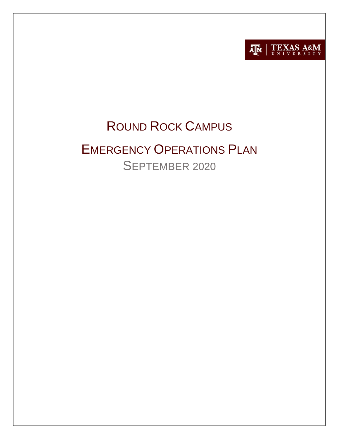

# ROUND ROCK CAMPUS

# EMERGENCY OPERATIONS PLAN SEPTEMBER 2020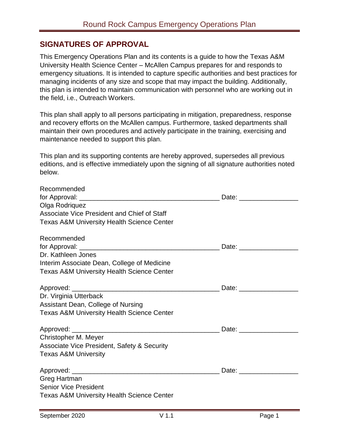# **SIGNATURES OF APPROVAL**

This Emergency Operations Plan and its contents is a guide to how the Texas A&M University Health Science Center – McAllen Campus prepares for and responds to emergency situations. It is intended to capture specific authorities and best practices for managing incidents of any size and scope that may impact the building. Additionally, this plan is intended to maintain communication with personnel who are working out in the field, i.e., Outreach Workers.

This plan shall apply to all persons participating in mitigation, preparedness, response and recovery efforts on the McAllen campus. Furthermore, tasked departments shall maintain their own procedures and actively participate in the training, exercising and maintenance needed to support this plan.

This plan and its supporting contents are hereby approved, supersedes all previous editions, and is effective immediately upon the signing of all signature authorities noted below.

| Recommended                                            |  |
|--------------------------------------------------------|--|
|                                                        |  |
| Olga Rodriquez                                         |  |
| Associate Vice President and Chief of Staff            |  |
| <b>Texas A&amp;M University Health Science Center</b>  |  |
| Recommended                                            |  |
|                                                        |  |
| Dr. Kathleen Jones                                     |  |
| Interim Associate Dean, College of Medicine            |  |
| <b>Texas A&amp;M University Health Science Center</b>  |  |
|                                                        |  |
| Dr. Virginia Utterback                                 |  |
| Assistant Dean, College of Nursing                     |  |
| <b>Texas A&amp;M University Health Science Center</b>  |  |
|                                                        |  |
| Christopher M. Meyer                                   |  |
| <b>Associate Vice President, Safety &amp; Security</b> |  |
| <b>Texas A&amp;M University</b>                        |  |
|                                                        |  |
| Greg Hartman                                           |  |
| <b>Senior Vice President</b>                           |  |
| <b>Texas A&amp;M University Health Science Center</b>  |  |
|                                                        |  |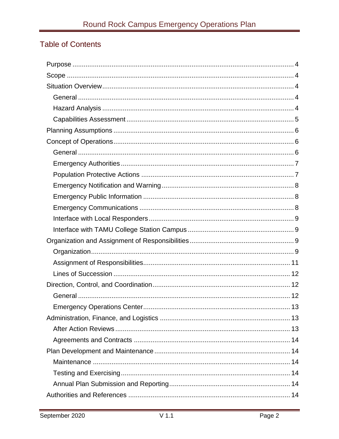# Table of Contents

| 13 |
|----|
|    |
|    |
|    |
|    |
|    |
|    |
|    |
|    |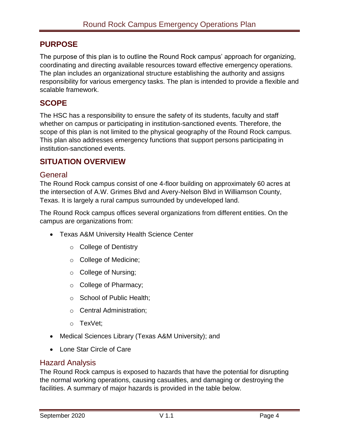# <span id="page-4-0"></span>**PURPOSE**

The purpose of this plan is to outline the Round Rock campus' approach for organizing, coordinating and directing available resources toward effective emergency operations. The plan includes an organizational structure establishing the authority and assigns responsibility for various emergency tasks. The plan is intended to provide a flexible and scalable framework.

# <span id="page-4-1"></span>**SCOPE**

The HSC has a responsibility to ensure the safety of its students, faculty and staff whether on campus or participating in institution-sanctioned events. Therefore, the scope of this plan is not limited to the physical geography of the Round Rock campus. This plan also addresses emergency functions that support persons participating in institution-sanctioned events.

# <span id="page-4-2"></span>**SITUATION OVERVIEW**

## <span id="page-4-3"></span>**General**

The Round Rock campus consist of one 4-floor building on approximately 60 acres at the intersection of A.W. Grimes Blvd and Avery-Nelson Blvd in Williamson County, Texas. It is largely a rural campus surrounded by undeveloped land.

The Round Rock campus offices several organizations from different entities. On the campus are organizations from:

- Texas A&M University Health Science Center
	- o College of Dentistry
	- o College of Medicine;
	- o College of Nursing;
	- o College of Pharmacy;
	- o School of Public Health;
	- o Central Administration;
	- o TexVet;
- Medical Sciences Library (Texas A&M University); and
- Lone Star Circle of Care

## <span id="page-4-4"></span>Hazard Analysis

The Round Rock campus is exposed to hazards that have the potential for disrupting the normal working operations, causing casualties, and damaging or destroying the facilities. A summary of major hazards is provided in the table below.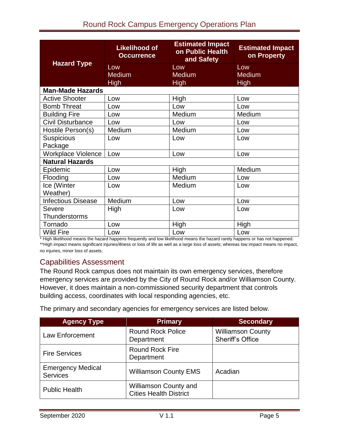| <b>Hazard Type</b>           | <b>Estimated Impact</b><br><b>Likelihood of</b><br>on Public Health<br><b>Occurrence</b><br>and Safety |                                     | <b>Estimated Impact</b><br>on Property |  |
|------------------------------|--------------------------------------------------------------------------------------------------------|-------------------------------------|----------------------------------------|--|
|                              | Low<br><b>Medium</b><br><b>High</b>                                                                    | Low<br><b>Medium</b><br><b>High</b> | Low<br><b>Medium</b><br><b>High</b>    |  |
| <b>Man-Made Hazards</b>      |                                                                                                        |                                     |                                        |  |
| <b>Active Shooter</b>        | Low                                                                                                    | High                                | Low                                    |  |
| <b>Bomb Threat</b>           | Low                                                                                                    | Low                                 | Low                                    |  |
| <b>Building Fire</b>         | Low                                                                                                    | Medium                              | Medium                                 |  |
| <b>Civil Disturbance</b>     | Low                                                                                                    | Low                                 | Low                                    |  |
| Hostile Person(s)            | Medium                                                                                                 | Medium                              | Low                                    |  |
| <b>Suspicious</b><br>Package | Low                                                                                                    | Low                                 | Low                                    |  |
| <b>Workplace Violence</b>    | Low                                                                                                    | Low                                 | Low                                    |  |
| <b>Natural Hazards</b>       |                                                                                                        |                                     |                                        |  |
| Epidemic                     | Low                                                                                                    | High                                | Medium                                 |  |
| Flooding                     | Low                                                                                                    | Medium                              | Low                                    |  |
| Ice (Winter<br>Weather)      | Low                                                                                                    | Medium                              | Low                                    |  |
| <b>Infectious Disease</b>    | Medium                                                                                                 | Low                                 | Low                                    |  |
| Severe<br>Thunderstorms      | High                                                                                                   | Low                                 | Low                                    |  |
| Tornado                      | Low                                                                                                    | <b>High</b>                         | <b>High</b>                            |  |
| <b>Wild Fire</b>             | Low                                                                                                    | Low                                 | Low                                    |  |

\* High likelihood means the hazard happens frequently and low likelihood means the hazard rarely happens or has not happened. \*\*High impact means significant injuries/illness or loss of life as well as a large loss of assets; whereas low impact means no impact, no injuries, minor loss of assets.

# <span id="page-5-0"></span>Capabilities Assessment

The Round Rock campus does not maintain its own emergency services, therefore emergency services are provided by the City of Round Rock and/or Williamson County. However, it does maintain a non-commissioned security department that controls building access, coordinates with local responding agencies, etc.

The primary and secondary agencies for emergency services are listed below.

| <b>Agency Type</b>                          | <b>Primary</b>                                                | <b>Secondary</b>                                    |
|---------------------------------------------|---------------------------------------------------------------|-----------------------------------------------------|
| <b>Law Enforcement</b>                      | <b>Round Rock Police</b><br>Department                        | <b>Williamson County</b><br><b>Sheriff's Office</b> |
| <b>Fire Services</b>                        | <b>Round Rock Fire</b><br>Department                          |                                                     |
| <b>Emergency Medical</b><br><b>Services</b> | <b>Williamson County EMS</b>                                  | Acadian                                             |
| <b>Public Health</b>                        | <b>Williamson County and</b><br><b>Cities Health District</b> |                                                     |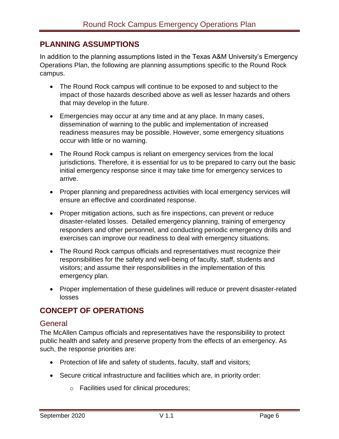## <span id="page-6-0"></span>**PLANNING ASSUMPTIONS**

In addition to the planning assumptions listed in the Texas A&M University's Emergency Operations Plan, the following are planning assumptions specific to the Round Rock campus.

- The Round Rock campus will continue to be exposed to and subject to the impact of those hazards described above as well as lesser hazards and others that may develop in the future.
- Emergencies may occur at any time and at any place. In many cases, dissemination of warning to the public and implementation of increased readiness measures may be possible. However, some emergency situations occur with little or no warning.
- The Round Rock campus is reliant on emergency services from the local jurisdictions. Therefore, it is essential for us to be prepared to carry out the basic initial emergency response since it may take time for emergency services to arrive.
- Proper planning and preparedness activities with local emergency services will ensure an effective and coordinated response.
- Proper mitigation actions, such as fire inspections, can prevent or reduce disaster-related losses. Detailed emergency planning, training of emergency responders and other personnel, and conducting periodic emergency drills and exercises can improve our readiness to deal with emergency situations.
- The Round Rock campus officials and representatives must recognize their responsibilities for the safety and well-being of faculty, staff, students and visitors; and assume their responsibilities in the implementation of this emergency plan.
- Proper implementation of these guidelines will reduce or prevent disaster-related losses

# <span id="page-6-1"></span>**CONCEPT OF OPERATIONS**

## <span id="page-6-2"></span>**General**

The McAllen Campus officials and representatives have the responsibility to protect public health and safety and preserve property from the effects of an emergency. As such, the response priorities are:

- Protection of life and safety of students, faculty, staff and visitors;
- Secure critical infrastructure and facilities which are, in priority order:
	- o Facilities used for clinical procedures;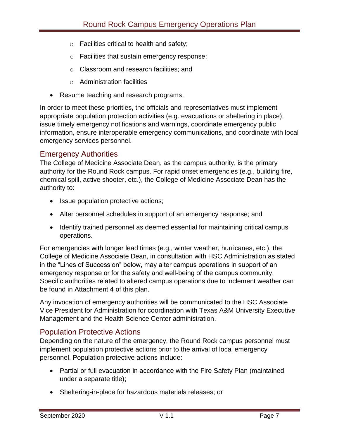- o Facilities critical to health and safety;
- o Facilities that sustain emergency response;
- o Classroom and research facilities; and
- o Administration facilities
- Resume teaching and research programs.

In order to meet these priorities, the officials and representatives must implement appropriate population protection activities (e.g. evacuations or sheltering in place), issue timely emergency notifications and warnings, coordinate emergency public information, ensure interoperable emergency communications, and coordinate with local emergency services personnel.

## <span id="page-7-0"></span>Emergency Authorities

The College of Medicine Associate Dean, as the campus authority, is the primary authority for the Round Rock campus. For rapid onset emergencies (e.g., building fire, chemical spill, active shooter, etc.), the College of Medicine Associate Dean has the authority to:

- Issue population protective actions;
- Alter personnel schedules in support of an emergency response; and
- Identify trained personnel as deemed essential for maintaining critical campus operations.

For emergencies with longer lead times (e.g., winter weather, hurricanes, etc.), the College of Medicine Associate Dean, in consultation with HSC Administration as stated in the "Lines of Succession" below, may alter campus operations in support of an emergency response or for the safety and well-being of the campus community. Specific authorities related to altered campus operations due to inclement weather can be found in Attachment 4 of this plan.

Any invocation of emergency authorities will be communicated to the HSC Associate Vice President for Administration for coordination with Texas A&M University Executive Management and the Health Science Center administration.

# <span id="page-7-1"></span>Population Protective Actions

Depending on the nature of the emergency, the Round Rock campus personnel must implement population protective actions prior to the arrival of local emergency personnel. Population protective actions include:

- Partial or full evacuation in accordance with the Fire Safety Plan (maintained under a separate title);
- Sheltering-in-place for hazardous materials releases; or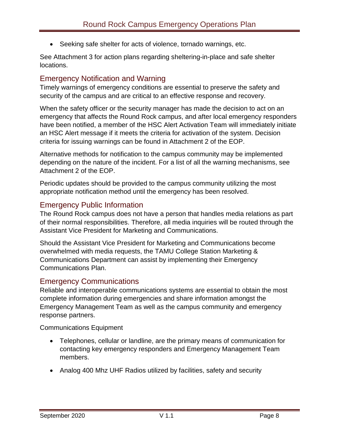Seeking safe shelter for acts of violence, tornado warnings, etc.

See Attachment 3 for action plans regarding sheltering-in-place and safe shelter locations.

# <span id="page-8-0"></span>Emergency Notification and Warning

Timely warnings of emergency conditions are essential to preserve the safety and security of the campus and are critical to an effective response and recovery.

When the safety officer or the security manager has made the decision to act on an emergency that affects the Round Rock campus, and after local emergency responders have been notified, a member of the HSC Alert Activation Team will immediately initiate an HSC Alert message if it meets the criteria for activation of the system. Decision criteria for issuing warnings can be found in Attachment 2 of the EOP.

Alternative methods for notification to the campus community may be implemented depending on the nature of the incident. For a list of all the warning mechanisms, see Attachment 2 of the EOP.

Periodic updates should be provided to the campus community utilizing the most appropriate notification method until the emergency has been resolved.

# <span id="page-8-1"></span>Emergency Public Information

The Round Rock campus does not have a person that handles media relations as part of their normal responsibilities. Therefore, all media inquiries will be routed through the Assistant Vice President for Marketing and Communications.

Should the Assistant Vice President for Marketing and Communications become overwhelmed with media requests, the TAMU College Station Marketing & Communications Department can assist by implementing their Emergency Communications Plan.

# <span id="page-8-2"></span>Emergency Communications

Reliable and interoperable communications systems are essential to obtain the most complete information during emergencies and share information amongst the Emergency Management Team as well as the campus community and emergency response partners.

Communications Equipment

- Telephones, cellular or landline, are the primary means of communication for contacting key emergency responders and Emergency Management Team members.
- Analog 400 Mhz UHF Radios utilized by facilities, safety and security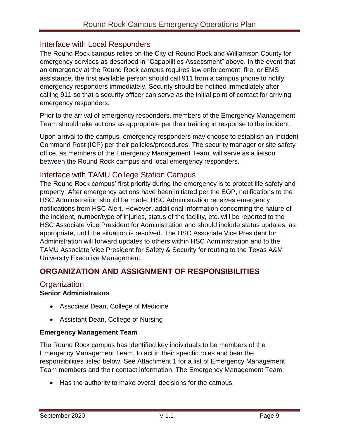# <span id="page-9-0"></span>Interface with Local Responders

The Round Rock campus relies on the City of Round Rock and Williamson County for emergency services as described in "Capabilities Assessment" above. In the event that an emergency at the Round Rock campus requires law enforcement, fire, or EMS assistance, the first available person should call 911 from a campus phone to notify emergency responders immediately. Security should be notified immediately after calling 911 so that a security officer can serve as the initial point of contact for arriving emergency responders.

Prior to the arrival of emergency responders, members of the Emergency Management Team should take actions as appropriate per their training in response to the incident.

Upon arrival to the campus, emergency responders may choose to establish an Incident Command Post (ICP) per their policies/procedures. The security manager or site safety office, as members of the Emergency Management Team, will serve as a liaison between the Round Rock campus and local emergency responders.

## <span id="page-9-1"></span>Interface with TAMU College Station Campus

The Round Rock campus' first priority during the emergency is to protect life safety and property. After emergency actions have been initiated per the EOP, notifications to the HSC Administration should be made. HSC Administration receives emergency notifications from HSC Alert. However, additional information concerning the nature of the incident, number/type of injuries, status of the facility, etc. will be reported to the HSC Associate Vice President for Administration and should include status updates, as appropriate, until the situation is resolved. The HSC Associate Vice President for Administration will forward updates to others within HSC Administration and to the TAMU Associate Vice President for Safety & Security for routing to the Texas A&M University Executive Management.

# <span id="page-9-2"></span>**ORGANIZATION AND ASSIGNMENT OF RESPONSIBILITIES**

# <span id="page-9-3"></span>**Organization**

## **Senior Administrators**

- Associate Dean, College of Medicine
- Assistant Dean, College of Nursing

#### **Emergency Management Team**

The Round Rock campus has identified key individuals to be members of the Emergency Management Team, to act in their specific roles and bear the responsibilities listed below. See Attachment 1 for a list of Emergency Management Team members and their contact information. The Emergency Management Team:

• Has the authority to make overall decisions for the campus.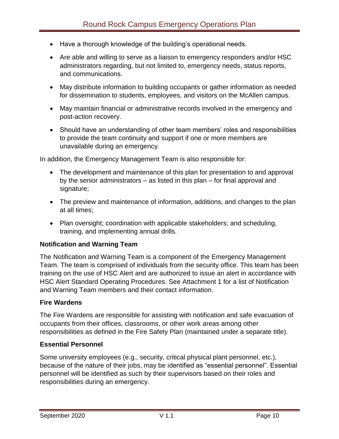- Have a thorough knowledge of the building's operational needs.
- Are able and willing to serve as a liaison to emergency responders and/or HSC administrators regarding, but not limited to, emergency needs, status reports, and communications.
- May distribute information to building occupants or gather information as needed for dissemination to students, employees, and visitors on the McAllen campus.
- May maintain financial or administrative records involved in the emergency and post-action recovery.
- Should have an understanding of other team members' roles and responsibilities to provide the team continuity and support if one or more members are unavailable during an emergency.

In addition, the Emergency Management Team is also responsible for:

- The development and maintenance of this plan for presentation to and approval by the senior administrators – as listed in this plan – for final approval and signature;
- The preview and maintenance of information, additions, and changes to the plan at all times;
- Plan oversight; coordination with applicable stakeholders; and scheduling, training, and implementing annual drills.

## **Notification and Warning Team**

The Notification and Warning Team is a component of the Emergency Management Team. The team is comprised of individuals from the security office. This team has been training on the use of HSC Alert and are authorized to issue an alert in accordance with HSC Alert Standard Operating Procedures. See Attachment 1 for a list of Notification and Warning Team members and their contact information.

#### **Fire Wardens**

The Fire Wardens are responsible for assisting with notification and safe evacuation of occupants from their offices, classrooms, or other work areas among other responsibilities as defined in the Fire Safety Plan (maintained under a separate title).

#### **Essential Personnel**

Some university employees (e.g., security, critical physical plant personnel, etc.), because of the nature of their jobs, may be identified as "essential personnel". Essential personnel will be identified as such by their supervisors based on their roles and responsibilities during an emergency.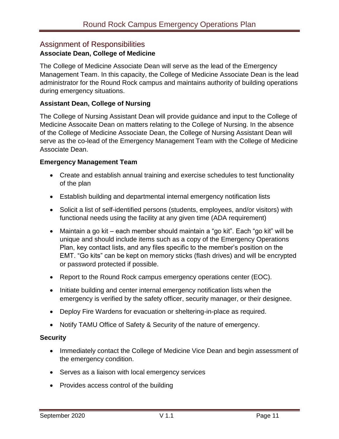# <span id="page-11-0"></span>Assignment of Responsibilities

## **Associate Dean, College of Medicine**

The College of Medicine Associate Dean will serve as the lead of the Emergency Management Team. In this capacity, the College of Medicine Associate Dean is the lead administrator for the Round Rock campus and maintains authority of building operations during emergency situations.

## **Assistant Dean, College of Nursing**

The College of Nursing Assistant Dean will provide guidance and input to the College of Medicine Assocaite Dean on matters relating to the College of Nursing. In the absence of the College of Medicine Associate Dean, the College of Nursing Assistant Dean will serve as the co-lead of the Emergency Management Team with the College of Medicine Associate Dean.

## **Emergency Management Team**

- Create and establish annual training and exercise schedules to test functionality of the plan
- Establish building and departmental internal emergency notification lists
- Solicit a list of self-identified persons (students, employees, and/or visitors) with functional needs using the facility at any given time (ADA requirement)
- Maintain a go kit each member should maintain a "go kit". Each "go kit" will be unique and should include items such as a copy of the Emergency Operations Plan, key contact lists, and any files specific to the member's position on the EMT. "Go kits" can be kept on memory sticks (flash drives) and will be encrypted or password protected if possible.
- Report to the Round Rock campus emergency operations center (EOC).
- Initiate building and center internal emergency notification lists when the emergency is verified by the safety officer, security manager, or their designee.
- Deploy Fire Wardens for evacuation or sheltering-in-place as required.
- Notify TAMU Office of Safety & Security of the nature of emergency.

## **Security**

- Immediately contact the College of Medicine Vice Dean and begin assessment of the emergency condition.
- Serves as a liaison with local emergency services
- Provides access control of the building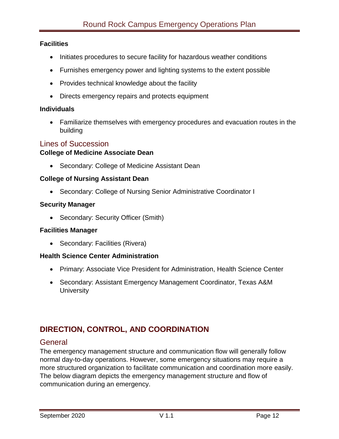#### **Facilities**

- Initiates procedures to secure facility for hazardous weather conditions
- Furnishes emergency power and lighting systems to the extent possible
- Provides technical knowledge about the facility
- Directs emergency repairs and protects equipment

#### **Individuals**

 Familiarize themselves with emergency procedures and evacuation routes in the building

## <span id="page-12-0"></span>Lines of Succession

#### **College of Medicine Associate Dean**

• Secondary: College of Medicine Assistant Dean

#### **College of Nursing Assistant Dean**

Secondary: College of Nursing Senior Administrative Coordinator I

#### **Security Manager**

• Secondary: Security Officer (Smith)

#### **Facilities Manager**

• Secondary: Facilities (Rivera)

#### **Health Science Center Administration**

- Primary: Associate Vice President for Administration, Health Science Center
- Secondary: Assistant Emergency Management Coordinator, Texas A&M **University**

# <span id="page-12-1"></span>**DIRECTION, CONTROL, AND COORDINATION**

## <span id="page-12-2"></span>**General**

The emergency management structure and communication flow will generally follow normal day-to-day operations. However, some emergency situations may require a more structured organization to facilitate communication and coordination more easily. The below diagram depicts the emergency management structure and flow of communication during an emergency.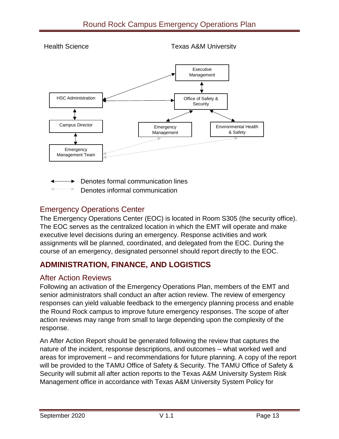

Denotes formal communication lines

Denotes informal communication

# <span id="page-13-0"></span>Emergency Operations Center

The Emergency Operations Center (EOC) is located in Room S305 (the security office). The EOC serves as the centralized location in which the EMT will operate and make executive level decisions during an emergency. Response activities and work assignments will be planned, coordinated, and delegated from the EOC. During the course of an emergency, designated personnel should report directly to the EOC.

# <span id="page-13-1"></span>**ADMINISTRATION, FINANCE, AND LOGISTICS**

# <span id="page-13-2"></span>After Action Reviews

Following an activation of the Emergency Operations Plan, members of the EMT and senior administrators shall conduct an after action review. The review of emergency responses can yield valuable feedback to the emergency planning process and enable the Round Rock campus to improve future emergency responses. The scope of after action reviews may range from small to large depending upon the complexity of the response.

An After Action Report should be generated following the review that captures the nature of the incident, response descriptions, and outcomes – what worked well and areas for improvement – and recommendations for future planning. A copy of the report will be provided to the TAMU Office of Safety & Security. The TAMU Office of Safety & Security will submit all after action reports to the Texas A&M University System Risk Management office in accordance with Texas A&M University System Policy for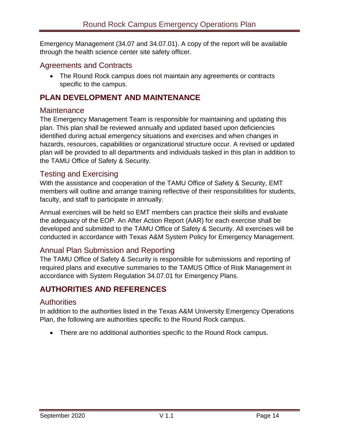Emergency Management (34.07 and 34.07.01). A copy of the report will be available through the health science center site safety officer.

# <span id="page-14-0"></span>Agreements and Contracts

 The Round Rock campus does not maintain any agreements or contracts specific to the campus.

# <span id="page-14-1"></span>**PLAN DEVELOPMENT AND MAINTENANCE**

## <span id="page-14-2"></span>**Maintenance**

The Emergency Management Team is responsible for maintaining and updating this plan. This plan shall be reviewed annually and updated based upon deficiencies identified during actual emergency situations and exercises and when changes in hazards, resources, capabilities or organizational structure occur. A revised or updated plan will be provided to all departments and individuals tasked in this plan in addition to the TAMU Office of Safety & Security.

# <span id="page-14-3"></span>Testing and Exercising

With the assistance and cooperation of the TAMU Office of Safety & Security, EMT members will outline and arrange training reflective of their responsibilities for students, faculty, and staff to participate in annually.

Annual exercises will be held so EMT members can practice their skills and evaluate the adequacy of the EOP. An After Action Report (AAR) for each exercise shall be developed and submitted to the TAMU Office of Safety & Security. All exercises will be conducted in accordance with Texas A&M System Policy for Emergency Management.

# <span id="page-14-4"></span>Annual Plan Submission and Reporting

The TAMU Office of Safety & Security is responsible for submissions and reporting of required plans and executive summaries to the TAMUS Office of Risk Management in accordance with System Regulation 34.07.01 for Emergency Plans.

# <span id="page-14-5"></span>**AUTHORITIES AND REFERENCES**

# <span id="page-14-6"></span>**Authorities**

In addition to the authorities listed in the Texas A&M University Emergency Operations Plan, the following are authorities specific to the Round Rock campus.

• There are no additional authorities specific to the Round Rock campus.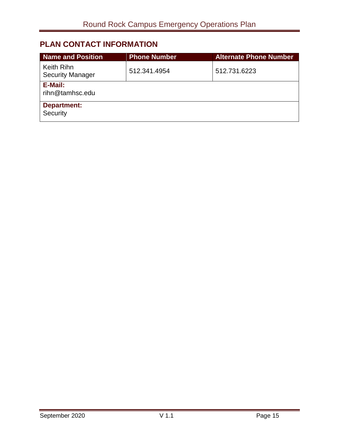# <span id="page-15-0"></span>**PLAN CONTACT INFORMATION**

| <b>Name and Position</b>              | <b>Phone Number</b> | <b>Alternate Phone Number</b> |
|---------------------------------------|---------------------|-------------------------------|
| Keith Rihn<br><b>Security Manager</b> | 512.341.4954        | 512.731.6223                  |
| E-Mail:<br>rihn@tamhsc.edu            |                     |                               |
| <b>Department:</b><br>Security        |                     |                               |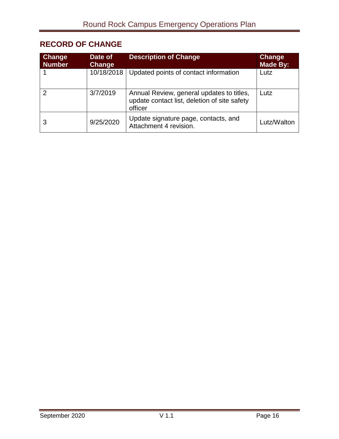# <span id="page-16-0"></span>**RECORD OF CHANGE**

| <b>Change</b><br><b>Number</b> | Date of<br>Change | <b>Description of Change</b>                                                                         | Change<br>Made By: |
|--------------------------------|-------------------|------------------------------------------------------------------------------------------------------|--------------------|
|                                | 10/18/2018        | Updated points of contact information                                                                | Lutz               |
| 2                              | 3/7/2019          | Annual Review, general updates to titles,<br>update contact list, deletion of site safety<br>officer | Lutz               |
| 3                              | 9/25/2020         | Update signature page, contacts, and<br>Attachment 4 revision.                                       | Lutz/Walton        |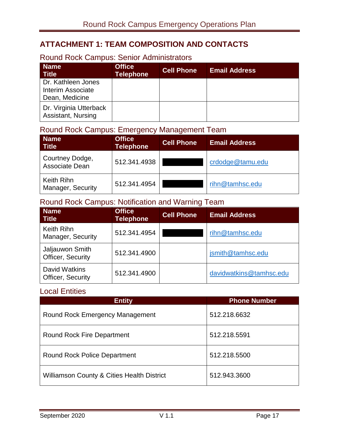# <span id="page-17-0"></span>**ATTACHMENT 1: TEAM COMPOSITION AND CONTACTS**

# <span id="page-17-1"></span>Round Rock Campus: Senior Administrators

| <b>Name</b><br><b>Title</b>                                      | <b>Office</b><br><b>Telephone</b> | <b>Cell Phone</b> | <b>Email Address</b> |
|------------------------------------------------------------------|-----------------------------------|-------------------|----------------------|
| Dr. Kathleen Jones<br><b>Interim Associate</b><br>Dean, Medicine |                                   |                   |                      |
| Dr. Virginia Utterback<br><b>Assistant, Nursing</b>              |                                   |                   |                      |

# <span id="page-17-2"></span>Round Rock Campus: Emergency Management Team

| <b>Name</b><br><b>Title</b>       | <b>Office</b><br><b>Telephone</b> | <b>Cell Phone</b> | <b>Email Address</b> |
|-----------------------------------|-----------------------------------|-------------------|----------------------|
| Courtney Dodge,<br>Associate Dean | 512.341.4938                      |                   | crdodge@tamu.edu     |
| Keith Rihn<br>Manager, Security   | 512.341.4954                      |                   | rihn@tamhsc.edu      |

# <span id="page-17-3"></span>Round Rock Campus: Notification and Warning Team

| <b>Name</b><br><b>Title</b>                      | <b>Office</b><br><b>Telephone</b> | <b>Cell Phone</b> | <b>Email Address</b>    |
|--------------------------------------------------|-----------------------------------|-------------------|-------------------------|
| Keith Rihn<br>Manager, Security                  | 512.341.4954                      |                   | rihn@tamhsc.edu         |
| Jaljauwon Smith<br>Officer, Security             | 512.341.4900                      |                   | jsmith@tamhsc.edu       |
| <b>David Watkins</b><br><b>Officer, Security</b> | 512.341.4900                      |                   | davidwatkins@tamhsc.edu |

# <span id="page-17-4"></span>Local Entities

| <b>Entity</b>                                         | <b>Phone Number</b> |
|-------------------------------------------------------|---------------------|
| <b>Round Rock Emergency Management</b>                | 512.218.6632        |
| <b>Round Rock Fire Department</b>                     | 512.218.5591        |
| <b>Round Rock Police Department</b>                   | 512.218.5500        |
| <b>Williamson County &amp; Cities Health District</b> | 512.943.3600        |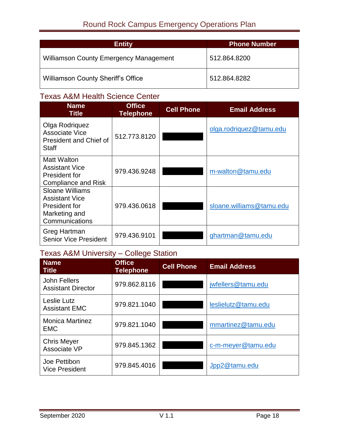| <b>Entity</b>                                 | <b>Phone Number</b> |
|-----------------------------------------------|---------------------|
| <b>Williamson County Emergency Management</b> | 512.864.8200        |
| <b>Williamson County Sheriff's Office</b>     | 512.864.8282        |

# <span id="page-18-0"></span>Texas A&M Health Science Center

| <b>Name</b><br><b>Title</b>                                                                  | <b>Office</b><br><b>Telephone</b> | <b>Cell Phone</b> | <b>Email Address</b>     |
|----------------------------------------------------------------------------------------------|-----------------------------------|-------------------|--------------------------|
| Olga Rodriguez<br>Associate Vice<br><b>President and Chief of</b><br><b>Staff</b>            | 512.773.8120                      |                   | olga.rodriquez@tamu.edu  |
| Matt Walton<br><b>Assistant Vice</b><br>President for<br><b>Compliance and Risk</b>          | 979.436.9248                      |                   | m-walton@tamu.edu        |
| Sloane Williams<br><b>Assistant Vice</b><br>President for<br>Marketing and<br>Communications | 979.436.0618                      |                   | sloane.williams@tamu.edu |
| Greg Hartman<br><b>Senior Vice President</b>                                                 | 979.436.9101                      |                   | ghartman@tamu.edu        |

# <span id="page-18-1"></span>Texas A&M University – College Station

| <b>Name</b><br><b>Title</b>                      | <b>Office</b><br><b>Telephone</b> | <b>Cell Phone</b> | <b>Email Address</b> |
|--------------------------------------------------|-----------------------------------|-------------------|----------------------|
| <b>John Fellers</b><br><b>Assistant Director</b> | 979.862.8116                      |                   | jwfellers@tamu.edu   |
| Leslie Lutz<br><b>Assistant EMC</b>              | 979.821.1040                      |                   | leslielutz@tamu.edu  |
| <b>Monica Martinez</b><br><b>EMC</b>             | 979.821.1040                      |                   | mmartinez@tamu.edu   |
| <b>Chris Meyer</b><br>Associate VP               | 979.845.1362                      |                   | c-m-meyer@tamu.edu   |
| Joe Pettibon<br><b>Vice President</b>            | 979.845.4016                      |                   | Jpp2@tamu.edu        |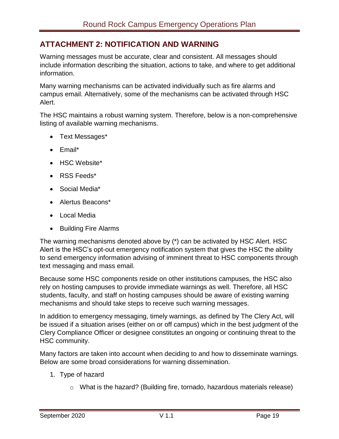# <span id="page-19-0"></span>**ATTACHMENT 2: NOTIFICATION AND WARNING**

Warning messages must be accurate, clear and consistent. All messages should include information describing the situation, actions to take, and where to get additional information.

Many warning mechanisms can be activated individually such as fire alarms and campus email. Alternatively, some of the mechanisms can be activated through HSC Alert.

The HSC maintains a robust warning system. Therefore, below is a non-comprehensive listing of available warning mechanisms.

- Text Messages\*
- Email\*
- HSC Website\*
- RSS Feeds\*
- Social Media\*
- Alertus Beacons\*
- Local Media
- Building Fire Alarms

The warning mechanisms denoted above by (\*) can be activated by HSC Alert. HSC Alert is the HSC's opt-out emergency notification system that gives the HSC the ability to send emergency information advising of imminent threat to HSC components through text messaging and mass email.

Because some HSC components reside on other institutions campuses, the HSC also rely on hosting campuses to provide immediate warnings as well. Therefore, all HSC students, faculty, and staff on hosting campuses should be aware of existing warning mechanisms and should take steps to receive such warning messages.

In addition to emergency messaging, timely warnings, as defined by The Clery Act, will be issued if a situation arises (either on or off campus) which in the best judgment of the Clery Compliance Officer or designee constitutes an ongoing or continuing threat to the HSC community.

Many factors are taken into account when deciding to and how to disseminate warnings. Below are some broad considerations for warning dissemination.

- 1. Type of hazard
	- o What is the hazard? (Building fire, tornado, hazardous materials release)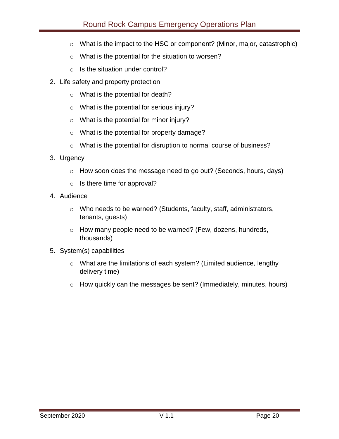- o What is the impact to the HSC or component? (Minor, major, catastrophic)
- o What is the potential for the situation to worsen?
- $\circ$  Is the situation under control?
- 2. Life safety and property protection
	- o What is the potential for death?
	- o What is the potential for serious injury?
	- o What is the potential for minor injury?
	- o What is the potential for property damage?
	- o What is the potential for disruption to normal course of business?
- 3. Urgency
	- o How soon does the message need to go out? (Seconds, hours, days)
	- $\circ$  Is there time for approval?
- 4. Audience
	- o Who needs to be warned? (Students, faculty, staff, administrators, tenants, guests)
	- o How many people need to be warned? (Few, dozens, hundreds, thousands)
- 5. System(s) capabilities
	- o What are the limitations of each system? (Limited audience, lengthy delivery time)
	- o How quickly can the messages be sent? (Immediately, minutes, hours)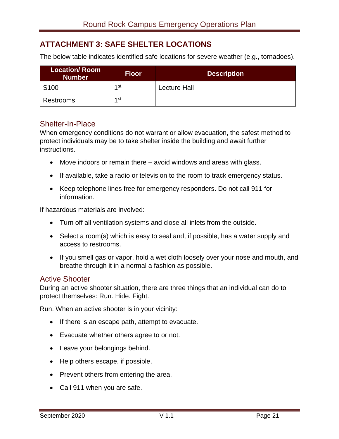# <span id="page-21-0"></span>**ATTACHMENT 3: SAFE SHELTER LOCATIONS**

The below table indicates identified safe locations for severe weather (e.g., tornadoes).

| <b>Location/Room</b><br><b>Number</b> | <b>Floor</b>    | <b>Description</b>  |
|---------------------------------------|-----------------|---------------------|
| S <sub>100</sub>                      | 1st             | <b>Lecture Hall</b> |
| Restrooms                             | 1 <sub>st</sub> |                     |

## <span id="page-21-1"></span>Shelter-In-Place

When emergency conditions do not warrant or allow evacuation, the safest method to protect individuals may be to take shelter inside the building and await further instructions.

- Move indoors or remain there avoid windows and areas with glass.
- If available, take a radio or television to the room to track emergency status.
- Keep telephone lines free for emergency responders. Do not call 911 for information.

If hazardous materials are involved:

- Turn off all ventilation systems and close all inlets from the outside.
- Select a room(s) which is easy to seal and, if possible, has a water supply and access to restrooms.
- If you smell gas or vapor, hold a wet cloth loosely over your nose and mouth, and breathe through it in a normal a fashion as possible.

## <span id="page-21-2"></span>Active Shooter

During an active shooter situation, there are three things that an individual can do to protect themselves: Run. Hide. Fight.

Run. When an active shooter is in your vicinity:

- If there is an escape path, attempt to evacuate.
- Evacuate whether others agree to or not.
- Leave your belongings behind.
- Help others escape, if possible.
- Prevent others from entering the area.
- Call 911 when you are safe.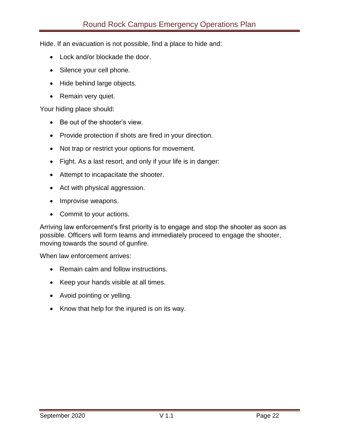Hide. If an evacuation is not possible, find a place to hide and:

- Lock and/or blockade the door.
- Silence your cell phone.
- Hide behind large objects.
- Remain very quiet.

Your hiding place should:

- Be out of the shooter's view.
- Provide protection if shots are fired in your direction.
- Not trap or restrict your options for movement.
- Fight. As a last resort, and only if your life is in danger:
- Attempt to incapacitate the shooter.
- Act with physical aggression.
- Improvise weapons.
- Commit to your actions.

Arriving law enforcement's first priority is to engage and stop the shooter as soon as possible. Officers will form teams and immediately proceed to engage the shooter, moving towards the sound of gunfire.

When law enforcement arrives:

- Remain calm and follow instructions.
- Keep your hands visible at all times.
- Avoid pointing or yelling.
- Know that help for the injured is on its way.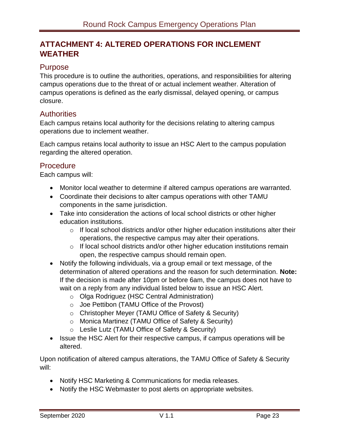# <span id="page-23-0"></span>**ATTACHMENT 4: ALTERED OPERATIONS FOR INCLEMENT WEATHER**

## <span id="page-23-1"></span>Purpose

This procedure is to outline the authorities, operations, and responsibilities for altering campus operations due to the threat of or actual inclement weather. Alteration of campus operations is defined as the early dismissal, delayed opening, or campus closure.

## <span id="page-23-2"></span>**Authorities**

Each campus retains local authority for the decisions relating to altering campus operations due to inclement weather.

Each campus retains local authority to issue an HSC Alert to the campus population regarding the altered operation.

# <span id="page-23-3"></span>**Procedure**

Each campus will:

- Monitor local weather to determine if altered campus operations are warranted.
- Coordinate their decisions to alter campus operations with other TAMU components in the same jurisdiction.
- Take into consideration the actions of local school districts or other higher education institutions.
	- $\circ$  If local school districts and/or other higher education institutions alter their operations, the respective campus may alter their operations.
	- o If local school districts and/or other higher education institutions remain open, the respective campus should remain open.
- Notify the following individuals, via a group email or text message, of the determination of altered operations and the reason for such determination. **Note:** If the decision is made after 10pm or before 6am, the campus does not have to wait on a reply from any individual listed below to issue an HSC Alert.
	- o Olga Rodriguez (HSC Central Administration)
	- o Joe Pettibon (TAMU Office of the Provost)
	- o Christopher Meyer (TAMU Office of Safety & Security)
	- o Monica Martinez (TAMU Office of Safety & Security)
	- o Leslie Lutz (TAMU Office of Safety & Security)
- Issue the HSC Alert for their respective campus, if campus operations will be altered.

Upon notification of altered campus alterations, the TAMU Office of Safety & Security will:

- Notify HSC Marketing & Communications for media releases.
- Notify the HSC Webmaster to post alerts on appropriate websites.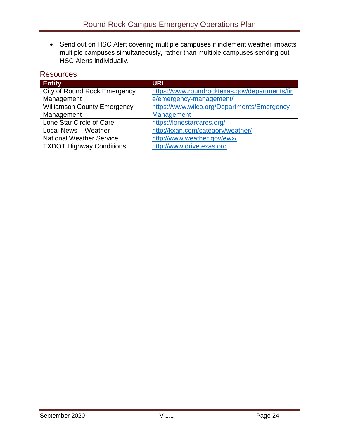Send out on HSC Alert covering multiple campuses if inclement weather impacts multiple campuses simultaneously, rather than multiple campuses sending out HSC Alerts individually.

# <span id="page-24-0"></span>**Resources**

| <b>Entity</b>                       | <b>URL</b>                                     |
|-------------------------------------|------------------------------------------------|
| <b>City of Round Rock Emergency</b> | https://www.roundrocktexas.gov/departments/fir |
| Management                          | e/emergency-management/                        |
| <b>Williamson County Emergency</b>  | https://www.wilco.org/Departments/Emergency-   |
| Management                          | Management                                     |
| Lone Star Circle of Care            | https://lonestarcares.org/                     |
| Local News - Weather                | http://kxan.com/category/weather/              |
| <b>National Weather Service</b>     | http://www.weather.gov/ewx/                    |
| <b>TXDOT Highway Conditions</b>     | http://www.drivetexas.org                      |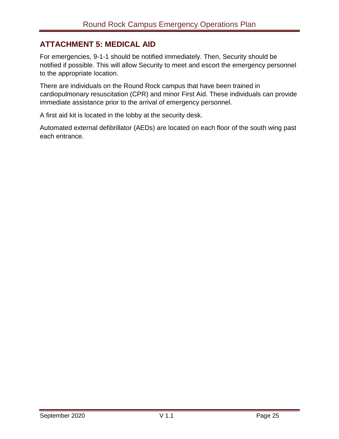# <span id="page-25-0"></span>**ATTACHMENT 5: MEDICAL AID**

For emergencies, 9-1-1 should be notified immediately. Then, Security should be notified if possible. This will allow Security to meet and escort the emergency personnel to the appropriate location.

There are individuals on the Round Rock campus that have been trained in cardiopulmonary resuscitation (CPR) and minor First Aid. These individuals can provide immediate assistance prior to the arrival of emergency personnel.

A first aid kit is located in the lobby at the security desk.

Automated external defibrillator (AEDs) are located on each floor of the south wing past each entrance.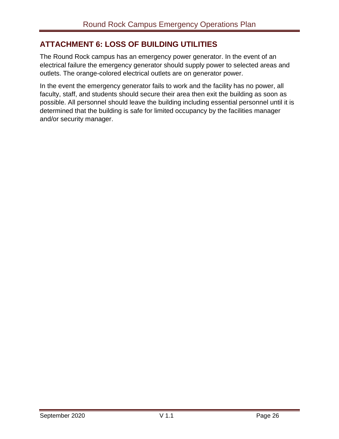# <span id="page-26-0"></span>**ATTACHMENT 6: LOSS OF BUILDING UTILITIES**

The Round Rock campus has an emergency power generator. In the event of an electrical failure the emergency generator should supply power to selected areas and outlets. The orange-colored electrical outlets are on generator power.

In the event the emergency generator fails to work and the facility has no power, all faculty, staff, and students should secure their area then exit the building as soon as possible. All personnel should leave the building including essential personnel until it is determined that the building is safe for limited occupancy by the facilities manager and/or security manager.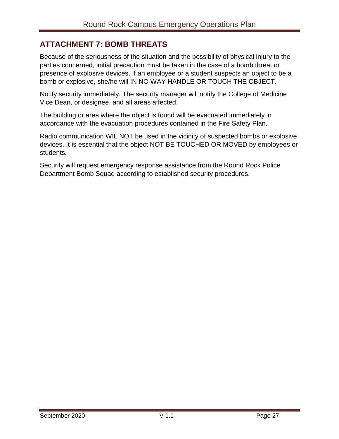# <span id="page-27-0"></span>**ATTACHMENT 7: BOMB THREATS**

Because of the seriousness of the situation and the possibility of physical injury to the parties concerned, initial precaution must be taken in the case of a bomb threat or presence of explosive devices. If an employee or a student suspects an object to be a bomb or explosive, she/he will IN NO WAY HANDLE OR TOUCH THE OBJECT.

Notify security immediately. The security manager will notify the College of Medicine Vice Dean, or designee, and all areas affected.

The building or area where the object is found will be evacuated immediately in accordance with the evacuation procedures contained in the Fire Safety Plan.

Radio communication WIL NOT be used in the vicinity of suspected bombs or explosive devices. It is essential that the object NOT BE TOUCHED OR MOVED by employees or students.

Security will request emergency response assistance from the Round Rock Police Department Bomb Squad according to established security procedures.